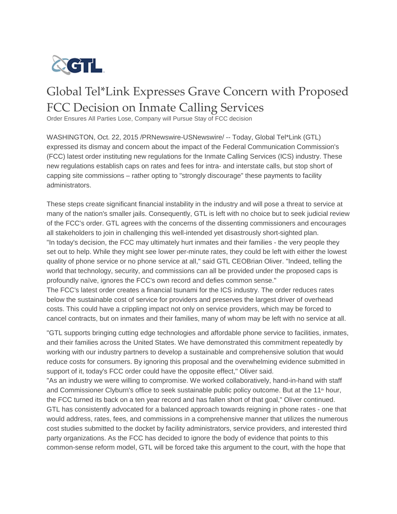

## Global Tel\*Link Expresses Grave Concern with Proposed FCC Decision on Inmate Calling Services

Order Ensures All Parties Lose, Company will Pursue Stay of FCC decision

WASHINGTON, Oct. 22, 2015 /PRNewswire-USNewswire/ -- Today, Global Tel\*Link (GTL) expressed its dismay and concern about the impact of the Federal Communication Commission's (FCC) latest order instituting new regulations for the Inmate Calling Services (ICS) industry. These new regulations establish caps on rates and fees for intra- and interstate calls, but stop short of capping site commissions – rather opting to "strongly discourage" these payments to facility administrators.

These steps create significant financial instability in the industry and will pose a threat to service at many of the nation's smaller jails. Consequently, GTL is left with no choice but to seek judicial review of the FCC's order. GTL agrees with the concerns of the dissenting commissioners and encourages all stakeholders to join in challenging this well-intended yet disastrously short-sighted plan. "In today's decision, the FCC may ultimately hurt inmates and their families - the very people they set out to help. While they might see lower per-minute rates, they could be left with either the lowest quality of phone service or no phone service at all," said GTL CEOBrian Oliver. "Indeed, telling the world that technology, security, and commissions can all be provided under the proposed caps is profoundly naïve, ignores the FCC's own record and defies common sense."

The FCC's latest order creates a financial tsunami for the ICS industry. The order reduces rates below the sustainable cost of service for providers and preserves the largest driver of overhead costs. This could have a crippling impact not only on service providers, which may be forced to cancel contracts, but on inmates and their families, many of whom may be left with no service at all.

"GTL supports bringing cutting edge technologies and affordable phone service to facilities, inmates, and their families across the United States. We have demonstrated this commitment repeatedly by working with our industry partners to develop a sustainable and comprehensive solution that would reduce costs for consumers. By ignoring this proposal and the overwhelming evidence submitted in support of it, today's FCC order could have the opposite effect," Oliver said.

"As an industry we were willing to compromise. We worked collaboratively, hand-in-hand with staff and Commissioner Clyburn's office to seek sustainable public policy outcome. But at the 11<sup>th</sup> hour, the FCC turned its back on a ten year record and has fallen short of that goal," Oliver continued. GTL has consistently advocated for a balanced approach towards reigning in phone rates - one that would address, rates, fees, and commissions in a comprehensive manner that utilizes the numerous cost studies submitted to the docket by facility administrators, service providers, and interested third party organizations. As the FCC has decided to ignore the body of evidence that points to this common-sense reform model, GTL will be forced take this argument to the court, with the hope that